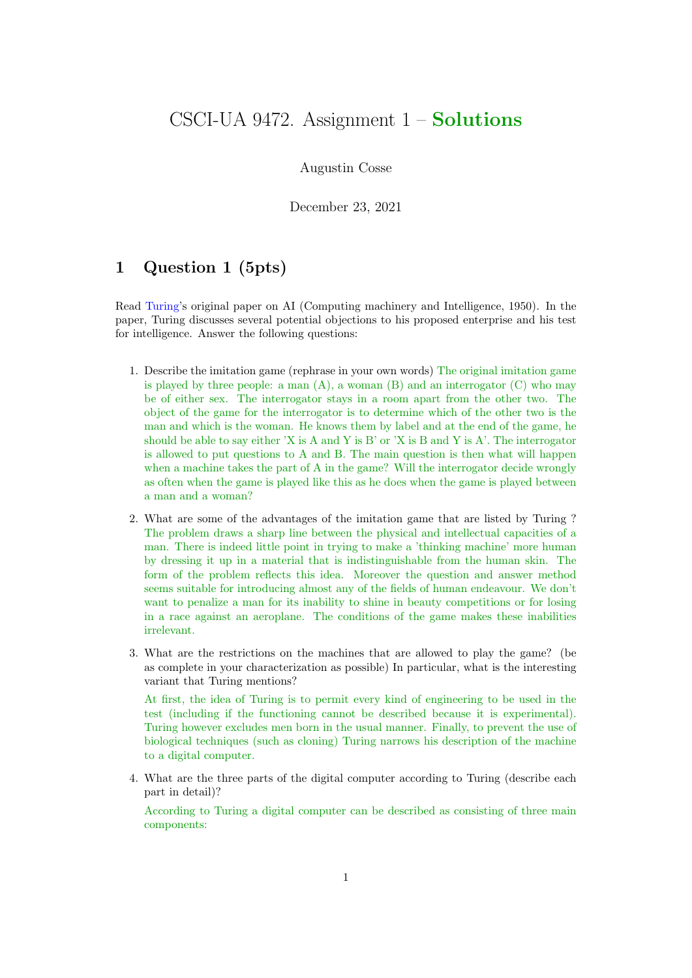# CSCI-UA 9472. Assignment  $1 -$  Solutions

#### Augustin Cosse

December 23, 2021

## 1 Question 1 (5pts)

Read Turing's original paper on AI (Computing machinery and Intelligence, 1950). In the paper, Turing discusses several potential objections to his proposed enterprise and his test for intelligence. Answer the following questions:

- 1. Describe the imitation game (rephrase in your own words) The original imitation game is played by three people: a man  $(A)$ , a woman  $(B)$  and an interrogator  $(C)$  who may be of either sex. The interrogator stays in a room apart from the other two. The object of the game for the interrogator is to determine which of the other two is the man and which is the woman. He knows them by label and at the end of the game, he should be able to say either 'X is A and Y is B' or 'X is B and Y is A'. The interrogator is allowed to put questions to A and B. The main question is then what will happen when a machine takes the part of A in the game? Will the interrogator decide wrongly as often when the game is played like this as he does when the game is played between a man and a woman?
- 2. What are some of the advantages of the imitation game that are listed by Turing ? The problem draws a sharp line between the physical and intellectual capacities of a man. There is indeed little point in trying to make a 'thinking machine' more human by dressing it up in a material that is indistinguishable from the human skin. The form of the problem reflects this idea. Moreover the question and answer method seems suitable for introducing almost any of the fields of human endeavour. We don't want to penalize a man for its inability to shine in beauty competitions or for losing in a race against an aeroplane. The conditions of the game makes these inabilities irrelevant.
- 3. What are the restrictions on the machines that are allowed to play the game? (be as complete in your characterization as possible) In particular, what is the interesting variant that Turing mentions?

At first, the idea of Turing is to permit every kind of engineering to be used in the test (including if the functioning cannot be described because it is experimental). Turing however excludes men born in the usual manner. Finally, to prevent the use of biological techniques (such as cloning) Turing narrows his description of the machine to a digital computer.

4. What are the three parts of the digital computer according to Turing (describe each part in detail)?

According to Turing a digital computer can be described as consisting of three main components: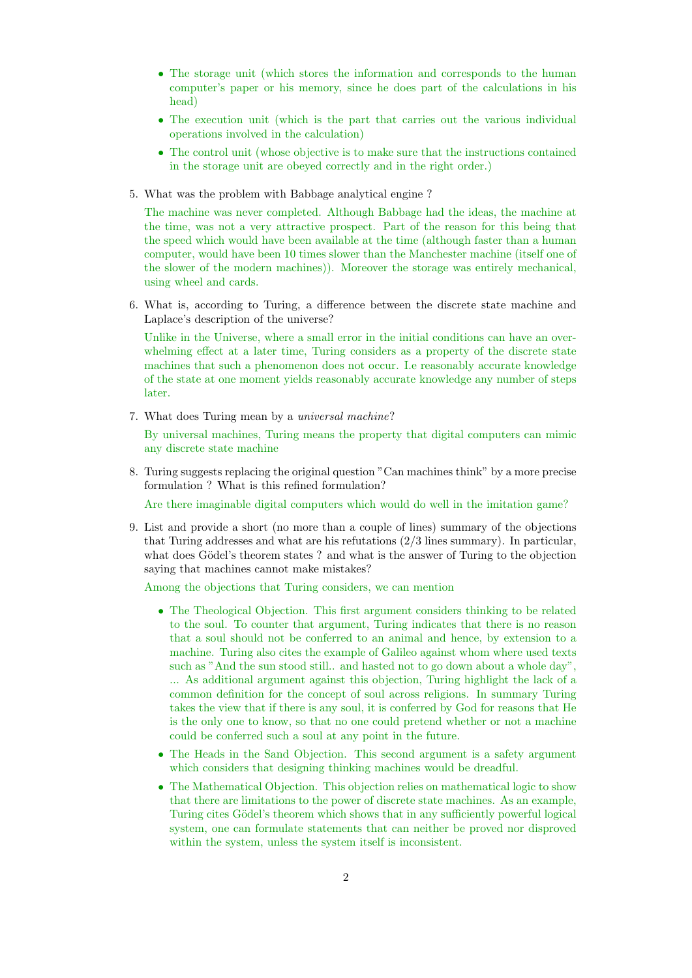- The storage unit (which stores the information and corresponds to the human computer's paper or his memory, since he does part of the calculations in his head)
- The execution unit (which is the part that carries out the various individual operations involved in the calculation)
- The control unit (whose objective is to make sure that the instructions contained in the storage unit are obeyed correctly and in the right order.)
- 5. What was the problem with Babbage analytical engine ?

The machine was never completed. Although Babbage had the ideas, the machine at the time, was not a very attractive prospect. Part of the reason for this being that the speed which would have been available at the time (although faster than a human computer, would have been 10 times slower than the Manchester machine (itself one of the slower of the modern machines)). Moreover the storage was entirely mechanical, using wheel and cards.

6. What is, according to Turing, a difference between the discrete state machine and Laplace's description of the universe?

Unlike in the Universe, where a small error in the initial conditions can have an overwhelming effect at a later time, Turing considers as a property of the discrete state machines that such a phenomenon does not occur. I.e reasonably accurate knowledge of the state at one moment yields reasonably accurate knowledge any number of steps later.

7. What does Turing mean by a universal machine?

By universal machines, Turing means the property that digital computers can mimic any discrete state machine

8. Turing suggests replacing the original question "Can machines think" by a more precise formulation ? What is this refined formulation?

Are there imaginable digital computers which would do well in the imitation game?

9. List and provide a short (no more than a couple of lines) summary of the objections that Turing addresses and what are his refutations (2/3 lines summary). In particular, what does Gödel's theorem states ? and what is the answer of Turing to the objection saying that machines cannot make mistakes?

Among the objections that Turing considers, we can mention

- The Theological Objection. This first argument considers thinking to be related to the soul. To counter that argument, Turing indicates that there is no reason that a soul should not be conferred to an animal and hence, by extension to a machine. Turing also cites the example of Galileo against whom where used texts such as "And the sun stood still.. and hasted not to go down about a whole day", ... As additional argument against this objection, Turing highlight the lack of a common definition for the concept of soul across religions. In summary Turing takes the view that if there is any soul, it is conferred by God for reasons that He is the only one to know, so that no one could pretend whether or not a machine could be conferred such a soul at any point in the future.
- The Heads in the Sand Objection. This second argument is a safety argument which considers that designing thinking machines would be dreadful.
- The Mathematical Objection. This objection relies on mathematical logic to show that there are limitations to the power of discrete state machines. As an example, Turing cites Gödel's theorem which shows that in any sufficiently powerful logical system, one can formulate statements that can neither be proved nor disproved within the system, unless the system itself is inconsistent.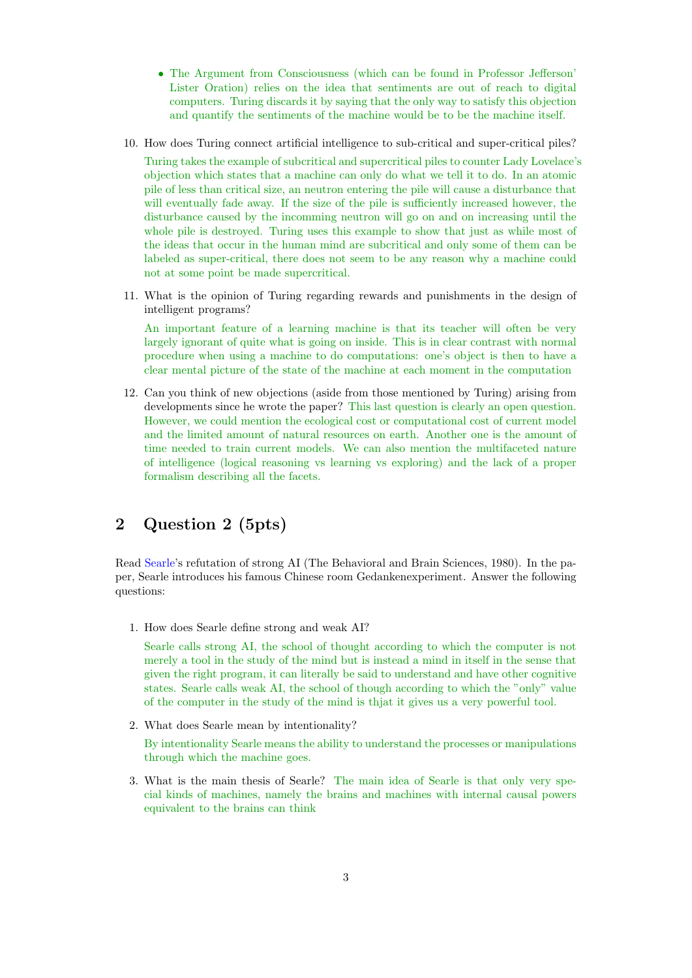- The Argument from Consciousness (which can be found in Professor Jefferson' Lister Oration) relies on the idea that sentiments are out of reach to digital computers. Turing discards it by saying that the only way to satisfy this objection and quantify the sentiments of the machine would be to be the machine itself.
- 10. How does Turing connect artificial intelligence to sub-critical and super-critical piles?

Turing takes the example of subcritical and supercritical piles to counter Lady Lovelace's objection which states that a machine can only do what we tell it to do. In an atomic pile of less than critical size, an neutron entering the pile will cause a disturbance that will eventually fade away. If the size of the pile is sufficiently increased however, the disturbance caused by the incomming neutron will go on and on increasing until the whole pile is destroyed. Turing uses this example to show that just as while most of the ideas that occur in the human mind are subcritical and only some of them can be labeled as super-critical, there does not seem to be any reason why a machine could not at some point be made supercritical.

11. What is the opinion of Turing regarding rewards and punishments in the design of intelligent programs?

An important feature of a learning machine is that its teacher will often be very largely ignorant of quite what is going on inside. This is in clear contrast with normal procedure when using a machine to do computations: one's object is then to have a clear mental picture of the state of the machine at each moment in the computation

12. Can you think of new objections (aside from those mentioned by Turing) arising from developments since he wrote the paper? This last question is clearly an open question. However, we could mention the ecological cost or computational cost of current model and the limited amount of natural resources on earth. Another one is the amount of time needed to train current models. We can also mention the multifaceted nature of intelligence (logical reasoning vs learning vs exploring) and the lack of a proper formalism describing all the facets.

## 2 Question 2 (5pts)

Read Searle's refutation of strong AI (The Behavioral and Brain Sciences, 1980). In the paper, Searle introduces his famous Chinese room Gedankenexperiment. Answer the following questions:

1. How does Searle define strong and weak AI?

Searle calls strong AI, the school of thought according to which the computer is not merely a tool in the study of the mind but is instead a mind in itself in the sense that given the right program, it can literally be said to understand and have other cognitive states. Searle calls weak AI, the school of though according to which the "only" value of the computer in the study of the mind is thjat it gives us a very powerful tool.

2. What does Searle mean by intentionality?

By intentionality Searle means the ability to understand the processes or manipulations through which the machine goes.

3. What is the main thesis of Searle? The main idea of Searle is that only very special kinds of machines, namely the brains and machines with internal causal powers equivalent to the brains can think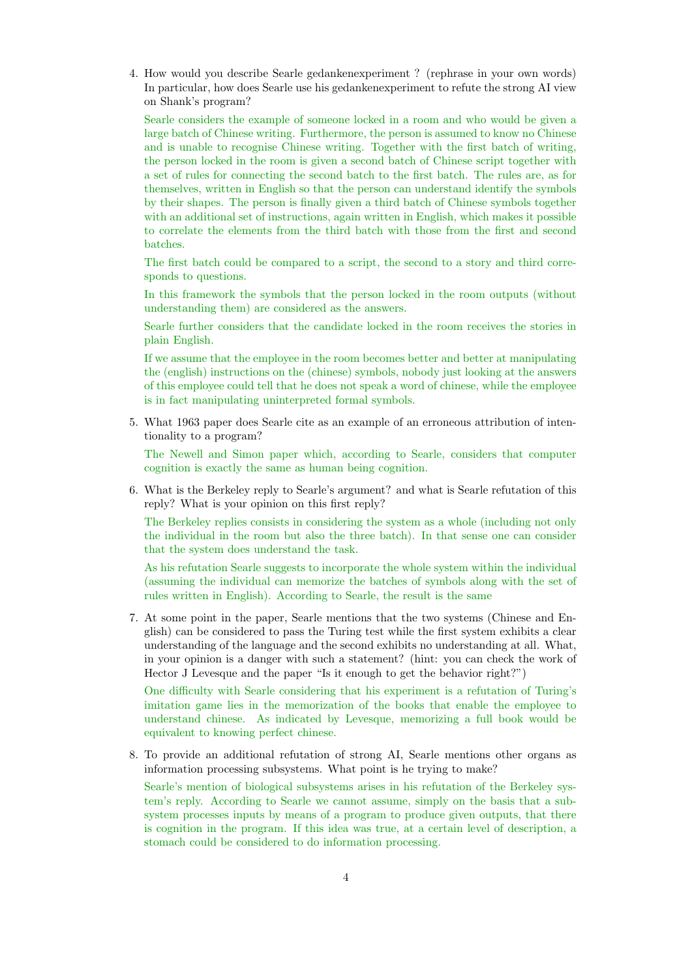4. How would you describe Searle gedankenexperiment ? (rephrase in your own words) In particular, how does Searle use his gedankenexperiment to refute the strong AI view on Shank's program?

Searle considers the example of someone locked in a room and who would be given a large batch of Chinese writing. Furthermore, the person is assumed to know no Chinese and is unable to recognise Chinese writing. Together with the first batch of writing, the person locked in the room is given a second batch of Chinese script together with a set of rules for connecting the second batch to the first batch. The rules are, as for themselves, written in English so that the person can understand identify the symbols by their shapes. The person is finally given a third batch of Chinese symbols together with an additional set of instructions, again written in English, which makes it possible to correlate the elements from the third batch with those from the first and second batches.

The first batch could be compared to a script, the second to a story and third corresponds to questions.

In this framework the symbols that the person locked in the room outputs (without understanding them) are considered as the answers.

Searle further considers that the candidate locked in the room receives the stories in plain English.

If we assume that the employee in the room becomes better and better at manipulating the (english) instructions on the (chinese) symbols, nobody just looking at the answers of this employee could tell that he does not speak a word of chinese, while the employee is in fact manipulating uninterpreted formal symbols.

5. What 1963 paper does Searle cite as an example of an erroneous attribution of intentionality to a program?

The Newell and Simon paper which, according to Searle, considers that computer cognition is exactly the same as human being cognition.

6. What is the Berkeley reply to Searle's argument? and what is Searle refutation of this reply? What is your opinion on this first reply?

The Berkeley replies consists in considering the system as a whole (including not only the individual in the room but also the three batch). In that sense one can consider that the system does understand the task.

As his refutation Searle suggests to incorporate the whole system within the individual (assuming the individual can memorize the batches of symbols along with the set of rules written in English). According to Searle, the result is the same

7. At some point in the paper, Searle mentions that the two systems (Chinese and English) can be considered to pass the Turing test while the first system exhibits a clear understanding of the language and the second exhibits no understanding at all. What, in your opinion is a danger with such a statement? (hint: you can check the work of Hector J Levesque and the paper "Is it enough to get the behavior right?")

One difficulty with Searle considering that his experiment is a refutation of Turing's imitation game lies in the memorization of the books that enable the employee to understand chinese. As indicated by Levesque, memorizing a full book would be equivalent to knowing perfect chinese.

8. To provide an additional refutation of strong AI, Searle mentions other organs as information processing subsystems. What point is he trying to make?

Searle's mention of biological subsystems arises in his refutation of the Berkeley system's reply. According to Searle we cannot assume, simply on the basis that a subsystem processes inputs by means of a program to produce given outputs, that there is cognition in the program. If this idea was true, at a certain level of description, a stomach could be considered to do information processing.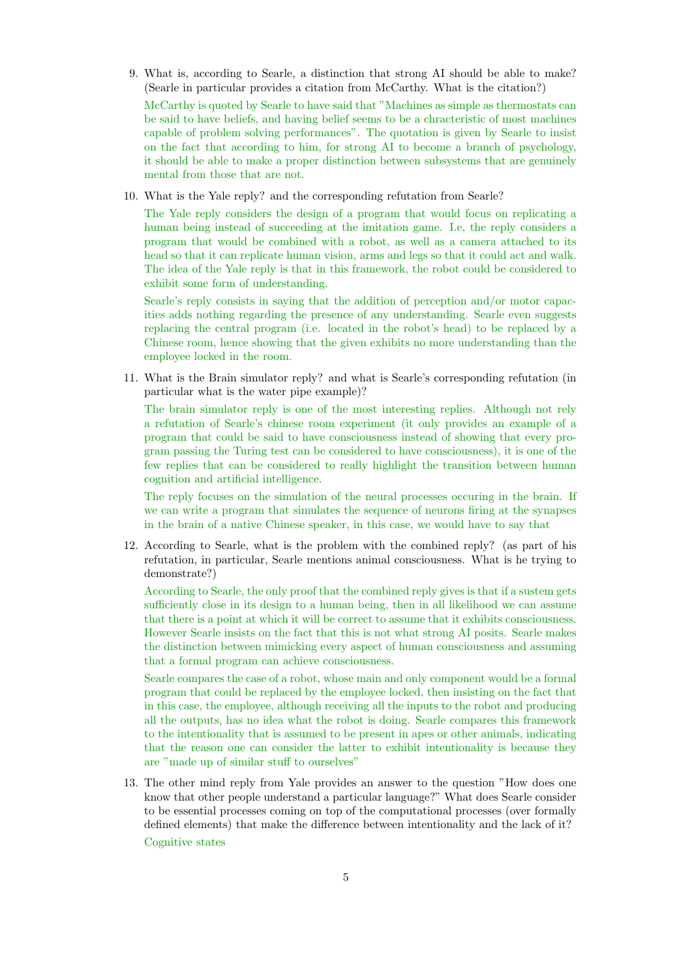9. What is, according to Searle, a distinction that strong AI should be able to make? (Searle in particular provides a citation from McCarthy. What is the citation?)

McCarthy is quoted by Searle to have said that "Machines as simple as thermostats can be said to have beliefs, and having belief seems to be a chracteristic of most machines capable of problem solving performances". The quotation is given by Searle to insist on the fact that according to him, for strong AI to become a branch of psychology, it should be able to make a proper distinction between subsystems that are genuinely mental from those that are not.

10. What is the Yale reply? and the corresponding refutation from Searle?

The Yale reply considers the design of a program that would focus on replicating a human being instead of succeeding at the imitation game. I.e, the reply considers a program that would be combined with a robot, as well as a camera attached to its head so that it can replicate human vision, arms and legs so that it could act and walk. The idea of the Yale reply is that in this framework, the robot could be considered to exhibit some form of understanding.

Searle's reply consists in saying that the addition of perception and/or motor capacities adds nothing regarding the presence of any understanding. Searle even suggests replacing the central program (i.e. located in the robot's head) to be replaced by a Chinese room, hence showing that the given exhibits no more understanding than the employee locked in the room.

11. What is the Brain simulator reply? and what is Searle's corresponding refutation (in particular what is the water pipe example)?

The brain simulator reply is one of the most interesting replies. Although not rely a refutation of Searle's chinese room experiment (it only provides an example of a program that could be said to have consciousness instead of showing that every program passing the Turing test can be considered to have consciousness), it is one of the few replies that can be considered to really highlight the transition between human cognition and artificial intelligence.

The reply focuses on the simulation of the neural processes occuring in the brain. If we can write a program that simulates the sequence of neurons firing at the synapses in the brain of a native Chinese speaker, in this case, we would have to say that

12. According to Searle, what is the problem with the combined reply? (as part of his refutation, in particular, Searle mentions animal consciousness. What is he trying to demonstrate?)

According to Searle, the only proof that the combined reply gives is that if a sustem gets sufficiently close in its design to a human being, then in all likelihood we can assume that there is a point at which it will be correct to assume that it exhibits consciousness. However Searle insists on the fact that this is not what strong AI posits. Searle makes the distinction between mimicking every aspect of human consciousness and assuming that a formal program can achieve consciousness.

Searle compares the case of a robot, whose main and only component would be a formal program that could be replaced by the employee locked, then insisting on the fact that in this case, the employee, although receiving all the inputs to the robot and producing all the outputs, has no idea what the robot is doing. Searle compares this framework to the intentionality that is assumed to be present in apes or other animals, indicating that the reason one can consider the latter to exhibit intentionality is because they are "made up of similar stuff to ourselves"

13. The other mind reply from Yale provides an answer to the question "How does one know that other people understand a particular language?" What does Searle consider to be essential processes coming on top of the computational processes (over formally defined elements) that make the difference between intentionality and the lack of it?

Cognitive states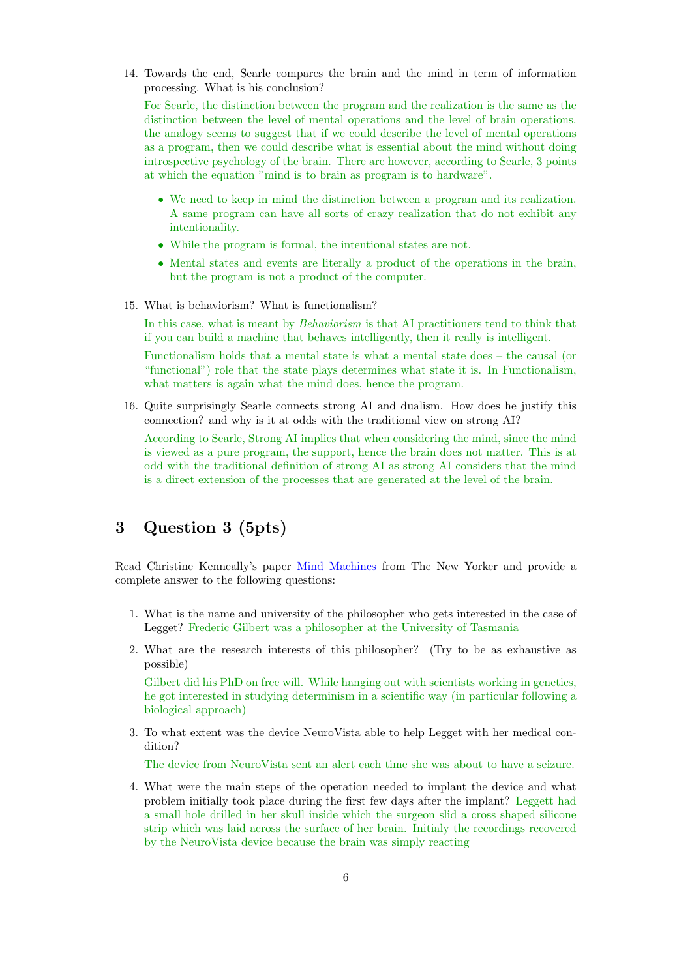14. Towards the end, Searle compares the brain and the mind in term of information processing. What is his conclusion?

For Searle, the distinction between the program and the realization is the same as the distinction between the level of mental operations and the level of brain operations. the analogy seems to suggest that if we could describe the level of mental operations as a program, then we could describe what is essential about the mind without doing introspective psychology of the brain. There are however, according to Searle, 3 points at which the equation "mind is to brain as program is to hardware".

- We need to keep in mind the distinction between a program and its realization. A same program can have all sorts of crazy realization that do not exhibit any intentionality.
- While the program is formal, the intentional states are not.
- Mental states and events are literally a product of the operations in the brain, but the program is not a product of the computer.
- 15. What is behaviorism? What is functionalism?

In this case, what is meant by *Behaviorism* is that AI practitioners tend to think that if you can build a machine that behaves intelligently, then it really is intelligent.

Functionalism holds that a mental state is what a mental state does – the causal (or "functional") role that the state plays determines what state it is. In Functionalism, what matters is again what the mind does, hence the program.

16. Quite surprisingly Searle connects strong AI and dualism. How does he justify this connection? and why is it at odds with the traditional view on strong AI?

According to Searle, Strong AI implies that when considering the mind, since the mind is viewed as a pure program, the support, hence the brain does not matter. This is at odd with the traditional definition of strong AI as strong AI considers that the mind is a direct extension of the processes that are generated at the level of the brain.

#### 3 Question 3 (5pts)

Read Christine Kenneally's paper Mind Machines from The New Yorker and provide a complete answer to the following questions:

- 1. What is the name and university of the philosopher who gets interested in the case of Legget? Frederic Gilbert was a philosopher at the University of Tasmania
- 2. What are the research interests of this philosopher? (Try to be as exhaustive as possible)

Gilbert did his PhD on free will. While hanging out with scientists working in genetics, he got interested in studying determinism in a scientific way (in particular following a biological approach)

3. To what extent was the device NeuroVista able to help Legget with her medical condition?

The device from NeuroVista sent an alert each time she was about to have a seizure.

4. What were the main steps of the operation needed to implant the device and what problem initially took place during the first few days after the implant? Leggett had a small hole drilled in her skull inside which the surgeon slid a cross shaped silicone strip which was laid across the surface of her brain. Initialy the recordings recovered by the NeuroVista device because the brain was simply reacting